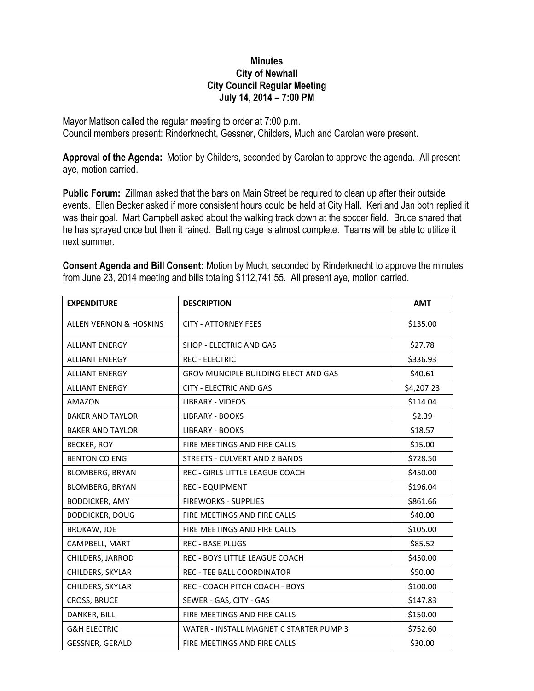## **Minutes City of Newhall City Council Regular Meeting July 14, 2014 – 7:00 PM**

Mayor Mattson called the regular meeting to order at 7:00 p.m. Council members present: Rinderknecht, Gessner, Childers, Much and Carolan were present.

**Approval of the Agenda:** Motion by Childers, seconded by Carolan to approve the agenda. All present aye, motion carried.

**Public Forum:** Zillman asked that the bars on Main Street be required to clean up after their outside events. Ellen Becker asked if more consistent hours could be held at City Hall. Keri and Jan both replied it was their goal. Mart Campbell asked about the walking track down at the soccer field. Bruce shared that he has sprayed once but then it rained. Batting cage is almost complete. Teams will be able to utilize it next summer.

| <b>EXPENDITURE</b>                | <b>DESCRIPTION</b>                          | <b>AMT</b> |
|-----------------------------------|---------------------------------------------|------------|
| <b>ALLEN VERNON &amp; HOSKINS</b> | <b>CITY - ATTORNEY FEES</b>                 | \$135.00   |
| <b>ALLIANT ENERGY</b>             | <b>SHOP - ELECTRIC AND GAS</b>              | \$27.78    |
| <b>ALLIANT ENERGY</b>             | <b>REC - ELECTRIC</b>                       | \$336.93   |
| <b>ALLIANT ENERGY</b>             | <b>GROV MUNCIPLE BUILDING ELECT AND GAS</b> | \$40.61    |
| <b>ALLIANT ENERGY</b>             | <b>CITY - ELECTRIC AND GAS</b>              | \$4,207.23 |
| <b>AMAZON</b>                     | <b>LIBRARY - VIDEOS</b>                     | \$114.04   |
| <b>BAKER AND TAYLOR</b>           | <b>LIBRARY - BOOKS</b>                      | \$2.39     |
| <b>BAKER AND TAYLOR</b>           | <b>LIBRARY - BOOKS</b>                      | \$18.57    |
| BECKER, ROY                       | FIRE MEETINGS AND FIRE CALLS                | \$15.00    |
| <b>BENTON CO ENG</b>              | <b>STREETS - CULVERT AND 2 BANDS</b>        | \$728.50   |
| <b>BLOMBERG, BRYAN</b>            | REC - GIRLS LITTLE LEAGUE COACH             | \$450.00   |
| <b>BLOMBERG, BRYAN</b>            | <b>REC - EQUIPMENT</b>                      | \$196.04   |
| <b>BODDICKER, AMY</b>             | <b>FIREWORKS - SUPPLIES</b>                 | \$861.66   |
| <b>BODDICKER, DOUG</b>            | FIRE MEETINGS AND FIRE CALLS                | \$40.00    |
| <b>BROKAW, JOE</b>                | FIRE MEETINGS AND FIRE CALLS                | \$105.00   |
| CAMPBELL, MART                    | <b>REC - BASE PLUGS</b>                     | \$85.52    |
| CHILDERS, JARROD                  | REC - BOYS LITTLE LEAGUE COACH              | \$450.00   |
| CHILDERS, SKYLAR                  | <b>REC - TEE BALL COORDINATOR</b>           | \$50.00    |
| CHILDERS, SKYLAR                  | REC - COACH PITCH COACH - BOYS              | \$100.00   |
| CROSS, BRUCE                      | SEWER - GAS, CITY - GAS                     | \$147.83   |
| DANKER, BILL                      | FIRE MEETINGS AND FIRE CALLS                | \$150.00   |
| <b>G&amp;H ELECTRIC</b>           | WATER - INSTALL MAGNETIC STARTER PUMP 3     | \$752.60   |
| <b>GESSNER, GERALD</b>            | FIRE MEETINGS AND FIRE CALLS                | \$30.00    |

**Consent Agenda and Bill Consent:** Motion by Much, seconded by Rinderknecht to approve the minutes from June 23, 2014 meeting and bills totaling \$112,741.55. All present aye, motion carried.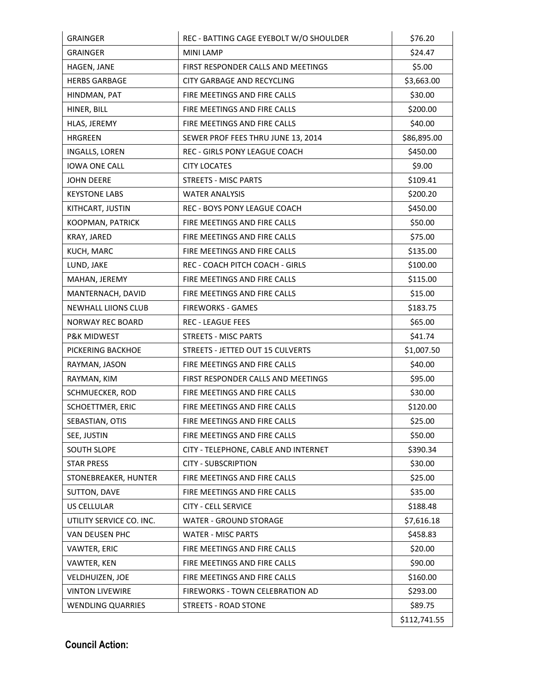| <b>GRAINGER</b>            | REC - BATTING CAGE EYEBOLT W/O SHOULDER | \$76.20      |
|----------------------------|-----------------------------------------|--------------|
| <b>GRAINGER</b>            | <b>MINI LAMP</b>                        | \$24.47      |
| HAGEN, JANE                | FIRST RESPONDER CALLS AND MEETINGS      | \$5.00       |
| <b>HERBS GARBAGE</b>       | <b>CITY GARBAGE AND RECYCLING</b>       | \$3,663.00   |
| HINDMAN, PAT               | FIRE MEETINGS AND FIRE CALLS            | \$30.00      |
| HINER, BILL                | FIRE MEETINGS AND FIRE CALLS            | \$200.00     |
| HLAS, JEREMY               | FIRE MEETINGS AND FIRE CALLS            | \$40.00      |
| <b>HRGREEN</b>             | SEWER PROF FEES THRU JUNE 13, 2014      | \$86,895.00  |
| INGALLS, LOREN             | <b>REC - GIRLS PONY LEAGUE COACH</b>    | \$450.00     |
| <b>IOWA ONE CALL</b>       | <b>CITY LOCATES</b>                     | \$9.00       |
| <b>JOHN DEERE</b>          | <b>STREETS - MISC PARTS</b>             | \$109.41     |
| <b>KEYSTONE LABS</b>       | <b>WATER ANALYSIS</b>                   | \$200.20     |
| KITHCART, JUSTIN           | REC - BOYS PONY LEAGUE COACH            | \$450.00     |
| KOOPMAN, PATRICK           | FIRE MEETINGS AND FIRE CALLS            | \$50.00      |
| KRAY, JARED                | FIRE MEETINGS AND FIRE CALLS            | \$75.00      |
| KUCH, MARC                 | FIRE MEETINGS AND FIRE CALLS            | \$135.00     |
| LUND, JAKE                 | REC - COACH PITCH COACH - GIRLS         | \$100.00     |
| MAHAN, JEREMY              | FIRE MEETINGS AND FIRE CALLS            | \$115.00     |
| MANTERNACH, DAVID          | FIRE MEETINGS AND FIRE CALLS            | \$15.00      |
| <b>NEWHALL LIIONS CLUB</b> | <b>FIREWORKS - GAMES</b>                | \$183.75     |
| <b>NORWAY REC BOARD</b>    | <b>REC - LEAGUE FEES</b>                | \$65.00      |
| <b>P&amp;K MIDWEST</b>     | <b>STREETS - MISC PARTS</b>             | \$41.74      |
| PICKERING BACKHOE          | STREETS - JETTED OUT 15 CULVERTS        | \$1,007.50   |
| RAYMAN, JASON              | FIRE MEETINGS AND FIRE CALLS            | \$40.00      |
| RAYMAN, KIM                | FIRST RESPONDER CALLS AND MEETINGS      | \$95.00      |
| SCHMUECKER, ROD            | FIRE MEETINGS AND FIRE CALLS            | \$30.00      |
| SCHOETTMER, ERIC           | FIRE MEETINGS AND FIRE CALLS            | \$120.00     |
| SEBASTIAN, OTIS            | FIRE MEETINGS AND FIRE CALLS            | \$25.00      |
| SEE, JUSTIN                | FIRE MEETINGS AND FIRE CALLS            | \$50.00      |
| <b>SOUTH SLOPE</b>         | CITY - TELEPHONE, CABLE AND INTERNET    | \$390.34     |
| <b>STAR PRESS</b>          | <b>CITY - SUBSCRIPTION</b>              | \$30.00      |
| STONEBREAKER, HUNTER       | FIRE MEETINGS AND FIRE CALLS            | \$25.00      |
| SUTTON, DAVE               | FIRE MEETINGS AND FIRE CALLS            | \$35.00      |
| <b>US CELLULAR</b>         | <b>CITY - CELL SERVICE</b>              | \$188.48     |
| UTILITY SERVICE CO. INC.   | <b>WATER - GROUND STORAGE</b>           | \$7,616.18   |
| VAN DEUSEN PHC             | <b>WATER - MISC PARTS</b>               | \$458.83     |
| VAWTER, ERIC               | FIRE MEETINGS AND FIRE CALLS            | \$20.00      |
| VAWTER, KEN                | FIRE MEETINGS AND FIRE CALLS            | \$90.00      |
| VELDHUIZEN, JOE            | FIRE MEETINGS AND FIRE CALLS            | \$160.00     |
| <b>VINTON LIVEWIRE</b>     | FIREWORKS - TOWN CELEBRATION AD         | \$293.00     |
| <b>WENDLING QUARRIES</b>   | <b>STREETS - ROAD STONE</b>             | \$89.75      |
|                            |                                         | \$112,741.55 |

**Council Action:**